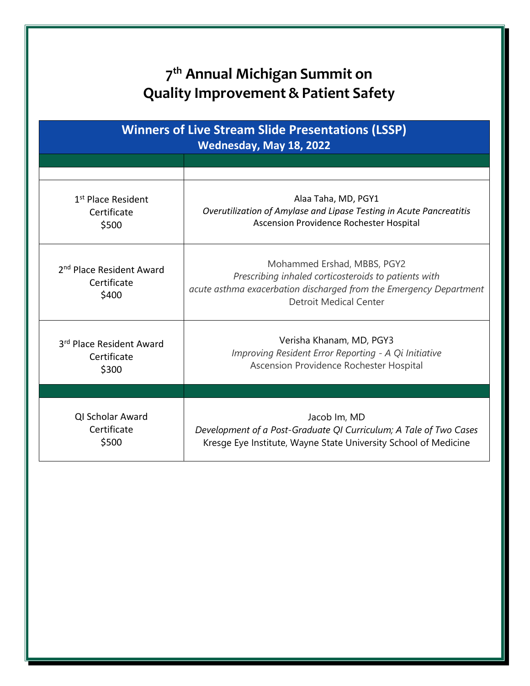## **7 th Annual Michigan Summit on Quality Improvement & Patient Safety**

| <b>Winners of Live Stream Slide Presentations (LSSP)</b><br>Wednesday, May 18, 2022 |                                                                                                                                                                                            |  |
|-------------------------------------------------------------------------------------|--------------------------------------------------------------------------------------------------------------------------------------------------------------------------------------------|--|
|                                                                                     |                                                                                                                                                                                            |  |
|                                                                                     |                                                                                                                                                                                            |  |
| 1 <sup>st</sup> Place Resident<br>Certificate<br>\$500                              | Alaa Taha, MD, PGY1<br>Overutilization of Amylase and Lipase Testing in Acute Pancreatitis<br>Ascension Providence Rochester Hospital                                                      |  |
| 2 <sup>nd</sup> Place Resident Award<br>Certificate<br>\$400                        | Mohammed Ershad, MBBS, PGY2<br>Prescribing inhaled corticosteroids to patients with<br>acute asthma exacerbation discharged from the Emergency Department<br><b>Detroit Medical Center</b> |  |
| 3rd Place Resident Award<br>Certificate<br>\$300                                    | Verisha Khanam, MD, PGY3<br>Improving Resident Error Reporting - A Qi Initiative<br>Ascension Providence Rochester Hospital                                                                |  |
|                                                                                     |                                                                                                                                                                                            |  |
| QI Scholar Award<br>Certificate<br>\$500                                            | Jacob Im, MD<br>Development of a Post-Graduate QI Curriculum; A Tale of Two Cases<br>Kresge Eye Institute, Wayne State University School of Medicine                                       |  |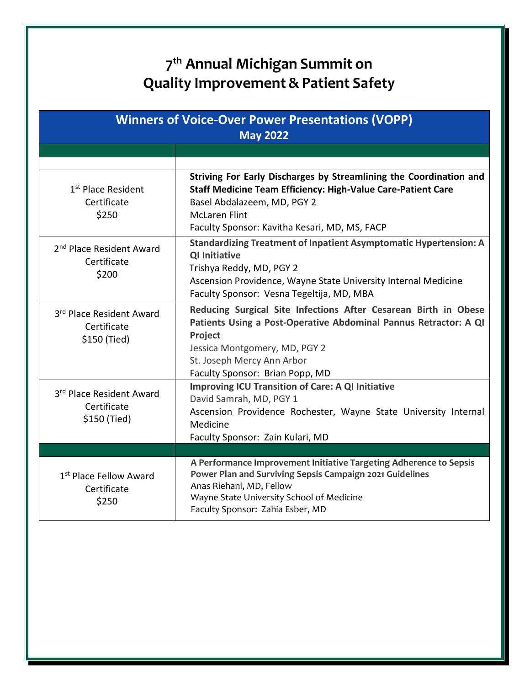## **7 th Annual Michigan Summit on Quality Improvement & Patient Safety**

| <b>Winners of Voice-Over Power Presentations (VOPP)</b><br><b>May 2022</b> |                                                                                                                                                                                                                                                   |
|----------------------------------------------------------------------------|---------------------------------------------------------------------------------------------------------------------------------------------------------------------------------------------------------------------------------------------------|
|                                                                            |                                                                                                                                                                                                                                                   |
|                                                                            |                                                                                                                                                                                                                                                   |
| 1 <sup>st</sup> Place Resident<br>Certificate<br>\$250                     | Striving For Early Discharges by Streamlining the Coordination and<br><b>Staff Medicine Team Efficiency: High-Value Care-Patient Care</b><br>Basel Abdalazeem, MD, PGY 2<br><b>McLaren Flint</b><br>Faculty Sponsor: Kavitha Kesari, MD, MS, FACP |
| 2 <sup>nd</sup> Place Resident Award<br>Certificate<br>\$200               | <b>Standardizing Treatment of Inpatient Asymptomatic Hypertension: A</b><br><b>QI Initiative</b><br>Trishya Reddy, MD, PGY 2<br>Ascension Providence, Wayne State University Internal Medicine<br>Faculty Sponsor: Vesna Tegeltija, MD, MBA       |
| 3rd Place Resident Award<br>Certificate<br>\$150 (Tied)                    | Reducing Surgical Site Infections After Cesarean Birth in Obese<br>Patients Using a Post-Operative Abdominal Pannus Retractor: A QI<br>Project<br>Jessica Montgomery, MD, PGY 2<br>St. Joseph Mercy Ann Arbor<br>Faculty Sponsor: Brian Popp, MD  |
| 3rd Place Resident Award<br>Certificate<br>\$150 (Tied)                    | <b>Improving ICU Transition of Care: A QI Initiative</b><br>David Samrah, MD, PGY 1<br>Ascension Providence Rochester, Wayne State University Internal<br>Medicine<br>Faculty Sponsor: Zain Kulari, MD                                            |
|                                                                            |                                                                                                                                                                                                                                                   |
| 1 <sup>st</sup> Place Fellow Award<br>Certificate<br>\$250                 | A Performance Improvement Initiative Targeting Adherence to Sepsis<br>Power Plan and Surviving Sepsis Campaign 2021 Guidelines<br>Anas Riehani, MD, Fellow<br>Wayne State University School of Medicine<br>Faculty Sponsor: Zahia Esber, MD       |